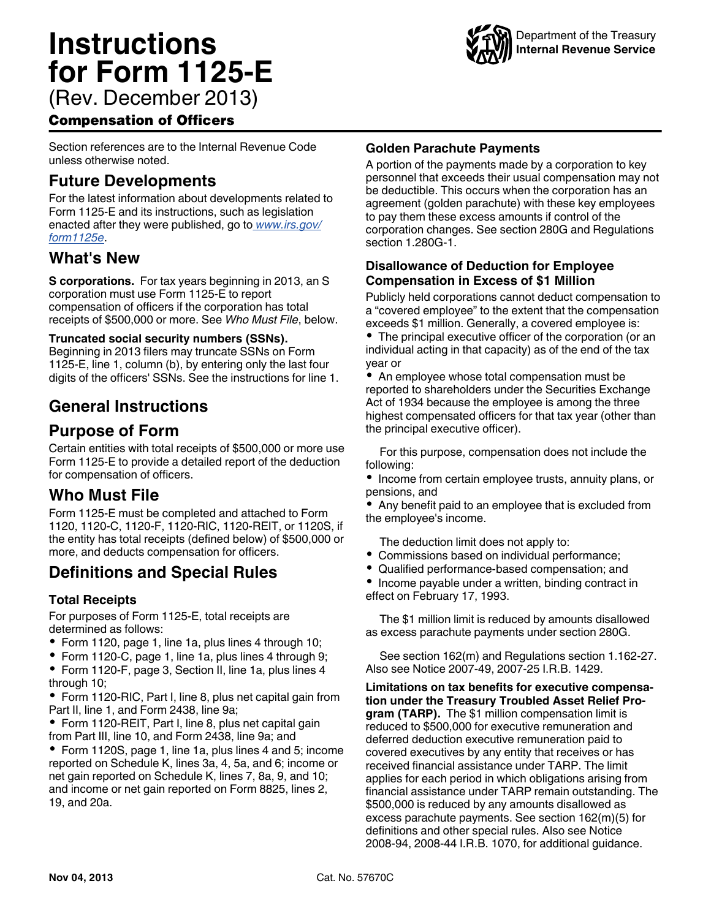# **Instructions for Form 1125-E** (Rev. December 2013)



Compensation of Officers

Section references are to the Internal Revenue Code unless otherwise noted.

## **Future Developments**

For the latest information about developments related to Form 1125-E and its instructions, such as legislation enacted after they were published, go to *[www.irs.gov/](http://www.irs.gov/form1125e) [form1125e](http://www.irs.gov/form1125e)*.

## **What's New**

**S corporations.** For tax years beginning in 2013, an S corporation must use Form 1125-E to report compensation of officers if the corporation has total receipts of \$500,000 or more. See *Who Must File*, below.

#### **Truncated social security numbers (SSNs).**

Beginning in 2013 filers may truncate SSNs on Form 1125-E, line 1, column (b), by entering only the last four digits of the officers' SSNs. See the instructions for line 1.

## **General Instructions**

## **Purpose of Form**

Certain entities with total receipts of \$500,000 or more use Form 1125-E to provide a detailed report of the deduction for compensation of officers.

#### **Who Must File**

Form 1125-E must be completed and attached to Form 1120, 1120-C, 1120-F, 1120-RIC, 1120-REIT, or 1120S, if the entity has total receipts (defined below) of \$500,000 or more, and deducts compensation for officers.

## **Definitions and Special Rules**

#### **Total Receipts**

For purposes of Form 1125-E, total receipts are determined as follows:

- Form 1120, page 1, line 1a, plus lines 4 through 10;
- Form 1120-C, page 1, line 1a, plus lines 4 through 9;
- Form 1120-F, page 3, Section II, line 1a, plus lines 4 through 10;
- Form 1120-RIC, Part I, line 8, plus net capital gain from Part II, line 1, and Form 2438, line 9a;

• Form 1120-REIT, Part I, line 8, plus net capital gain from Part III, line 10, and Form 2438, line 9a; and

• Form 1120S, page 1, line 1a, plus lines 4 and 5; income reported on Schedule K, lines 3a, 4, 5a, and 6; income or net gain reported on Schedule K, lines 7, 8a, 9, and 10; and income or net gain reported on Form 8825, lines 2, 19, and 20a.

#### **Golden Parachute Payments**

A portion of the payments made by a corporation to key personnel that exceeds their usual compensation may not be deductible. This occurs when the corporation has an agreement (golden parachute) with these key employees to pay them these excess amounts if control of the corporation changes. See section 280G and Regulations section 1.280G-1.

#### **Disallowance of Deduction for Employee Compensation in Excess of \$1 Million**

Publicly held corporations cannot deduct compensation to a "covered employee" to the extent that the compensation exceeds \$1 million. Generally, a covered employee is:

The principal executive officer of the corporation (or an individual acting in that capacity) as of the end of the tax year or

• An employee whose total compensation must be reported to shareholders under the Securities Exchange Act of 1934 because the employee is among the three highest compensated officers for that tax year (other than the principal executive officer).

For this purpose, compensation does not include the following:

• Income from certain employee trusts, annuity plans, or pensions, and

Any benefit paid to an employee that is excluded from the employee's income.

The deduction limit does not apply to:

- Commissions based on individual performance;
- Qualified performance-based compensation; and
- Income payable under a written, binding contract in effect on February 17, 1993.

The \$1 million limit is reduced by amounts disallowed as excess parachute payments under section 280G.

See section 162(m) and Regulations section 1.162-27. Also see Notice 2007-49, 2007-25 I.R.B. 1429.

**Limitations on tax benefits for executive compensation under the Treasury Troubled Asset Relief Program (TARP).** The \$1 million compensation limit is reduced to \$500,000 for executive remuneration and deferred deduction executive remuneration paid to covered executives by any entity that receives or has received financial assistance under TARP. The limit applies for each period in which obligations arising from financial assistance under TARP remain outstanding. The \$500,000 is reduced by any amounts disallowed as excess parachute payments. See section 162(m)(5) for definitions and other special rules. Also see Notice 2008-94, 2008-44 I.R.B. 1070, for additional guidance.